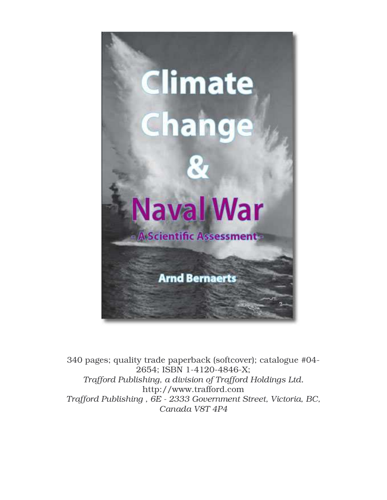

340 pages; quality trade paperback (softcover); catalogue #04- 2654; ISBN 1-4120-4846-X; *Trafford Publishing, a division of Trafford Holdings Ltd.* http://www.trafford.com *Trafford Publishing , 6E - 2333 Government Street, Victoria, BC, Canada V8T 4P4*